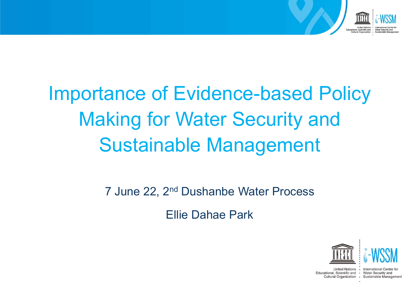

### Importance of Evidence-based Policy Making for Water Security and Sustainable Management

7 June 22, 2nd Dushanbe Water Process

Ellie Dahae Park





Educational, Scientific and • Water Security and Cultural Organization · Sustainable Management

United Nations • International Centre for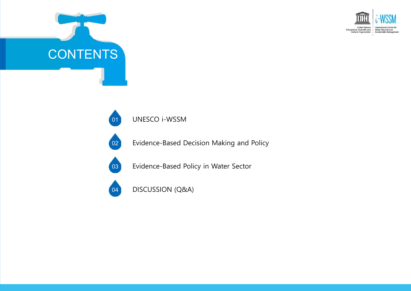





Evidence-Based Decision Making and Policy



Evidence-Based Policy in Water Sector



DISCUSSION (Q&A)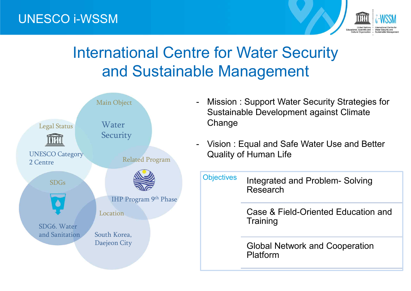#### UNESCO i-WSSM



### International Centre for Water Security and Sustainable Management



- Mission : Support Water Security Strategies for Sustainable Development against Climate **Change**
- Vision: Equal and Safe Water Use and Better Quality of Human Life
	- Objectives Integrated and Problem- Solving Research

Case & Field-Oriented Education and **Training** 

Global Network and Cooperation Platform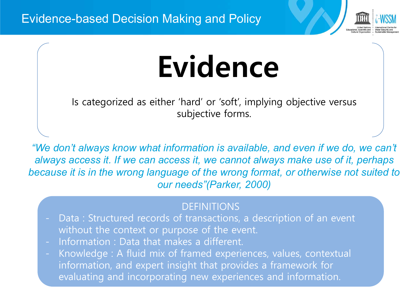

# **Evidence**

Is categorized as either 'hard' or 'soft', implying objective versus subjective forms.

"We don't always know what information is available, and even if we do, we can't *always access it. If we can access it, we cannot always make use of it, perhaps because it is in the wrong language of the wrong format, or otherwise not suited to our needs"(Parker, 2000)* 

- DEFINITIONS<br>Data : Structured records of transactions, a description of an event without the context or purpose of the event.
- Information : Data that makes a different.
- Knowledge : A fluid mix of framed experiences, values, contextual information, and expert insight that provides a framework for evaluating and incorporating new experiences and information.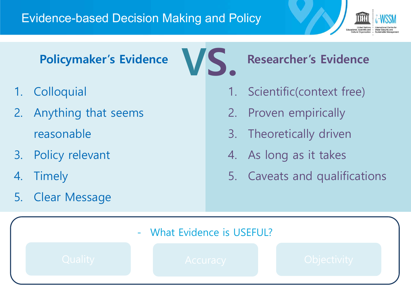#### Evidence-based Decision Making and Policy



**Policymaker's Evidence** 

- 1. Colloquial
- 2. Anything that seems reasonable
- 3. Policy relevant
- 4. Timely
- 5. Clear Message

**Researcher's Evidence**

- 1. Scientific(context free)
- 2. Proven empirically
- 3. Theoretically driven
- 4. As long as it takes
- 5. Caveats and qualifications

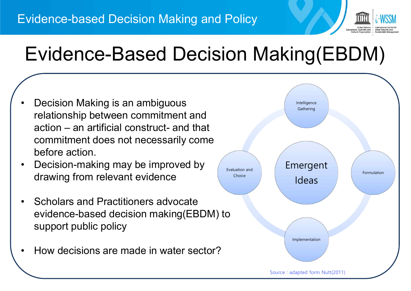

### Evidence-Based Decision Making(EBDM)

- Decision Making is an ambiguous relationship between commitment and action – an artificial construct- and that commitment does not necessarily come before action.
- Decision-making may be improved by drawing from relevant evidence
- Scholars and Practitioners advocate evidence-based decision making(EBDM) to support public policy
- How decisions are made in water sector?

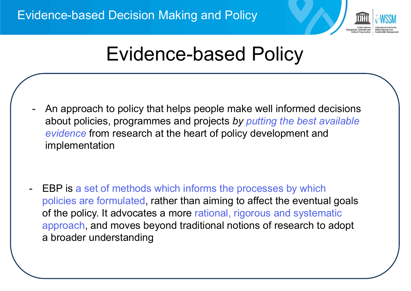

### Evidence-based Policy

- An approach to policy that helps people make well informed decisions about policies, programmes and projects *by putting the best available evidence* from research at the heart of policy development and implementation

- EBP is a set of methods which informs the processes by which policies are formulated, rather than aiming to affect the eventual goals of the policy. It advocates a more rational, rigorous and systematic approach, and moves beyond traditional notions of research to adopt a broader understanding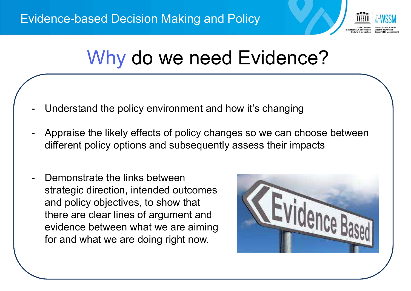

### Why do we need Evidence?

- Understand the policy environment and how it's changing
- Appraise the likely effects of policy changes so we can choose between different policy options and subsequently assess their impacts
- Demonstrate the links between strategic direction, intended outcomes and policy objectives, to show that there are clear lines of argument and evidence between what we are aiming for and what we are doing right now.

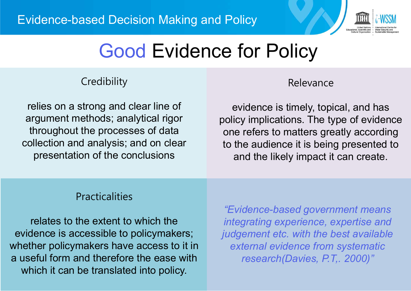

### Good Evidence for Policy

#### **Credibility**

relies on a strong and clear line of argument methods; analytical rigor throughout the processes of data collection and analysis; and on clear presentation of the conclusions

#### Relevance

evidence is timely, topical, and has policy implications. The type of evidence one refers to matters greatly according to the audience it is being presented to and the likely impact it can create.

#### Practicalities

relates to the extent to which the evidence is accessible to policymakers; whether policymakers have access to it in a useful form and therefore the ease with which it can be translated into policy.

*"Evidence-based government means integrating experience, expertise and judgement etc. with the best available external evidence from systematic research(Davies, P.T,. 2000)"*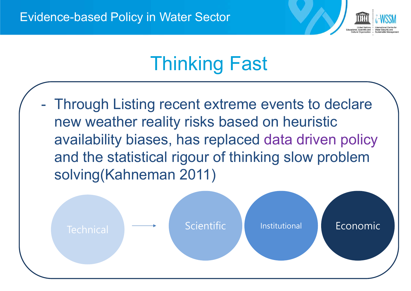

### Thinking Fast

- Through Listing recent extreme events to declare new weather reality risks based on heuristic availability biases, has replaced data driven policy and the statistical rigour of thinking slow problem solving(Kahneman 2011)

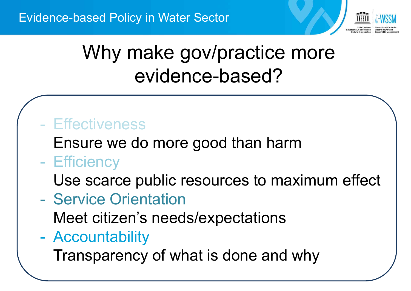

### Why make gov/practice more evidence-based?

#### - Effectiveness

Ensure we do more good than harm

#### - Efficiency

Use scarce public resources to maximum effect

- Service Orientation

Meet citizen's needs/expectations

- Accountability

Transparency of what is done and why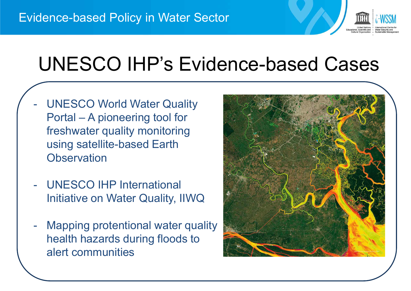

### UNESCO IHP's Evidence-based Cases

- UNESCO World Water Quality Portal – A pioneering tool for freshwater quality monitoring using satellite-based Earth **Observation**
- UNESCO IHP International Initiative on Water Quality, IIWQ
- **Mapping protentional water quality** health hazards during floods to alert communities

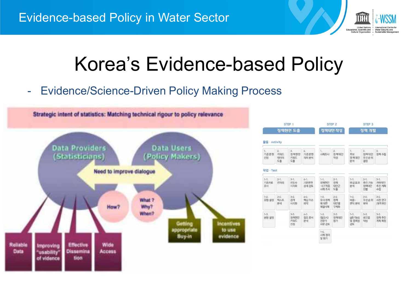

### Korea's Evidence-based Policy

- Evidence/Science-Driven Policy Making Process



| STEP 1                  |                                                |                                |                               | STEP <sub>2</sub>                     |                                | STEP <sub>3</sub>                           |                               |                                   |  |
|-------------------------|------------------------------------------------|--------------------------------|-------------------------------|---------------------------------------|--------------------------------|---------------------------------------------|-------------------------------|-----------------------------------|--|
|                         | 정책현안 도출                                        |                                |                               |                                       | 정책대안 작성                        |                                             | 정책 개발                         |                                   |  |
| ■ < Activity            |                                                |                                |                               |                                       |                                |                                             |                               |                                   |  |
| Æ.<br>기준문헌<br>신정        | $\mathbb{Z}$<br><b>开站栏</b><br><b>印0日</b><br>至叠 | 3.<br>정책현안<br>开采压<br>至叠        | L<br>기준문헌<br>의미 분석            | 1.<br>从圣影人                            | $\mathbb{Z}$<br>정책대안<br>작성     | 1.<br>草址<br>전책대안<br>분석                      | 2<br>정책대안<br>早村会射<br>결정       | 2<br>정책수립                         |  |
| 작업 · Task               |                                                |                                |                               |                                       |                                |                                             |                               |                                   |  |
| $1 - 1$ .<br>기초자료<br>圣사 | $2 - 1$ .<br>图划桥                               | $3 - 1$ .<br>担星点<br>人民政        | $L-1$ .<br>기空足剤<br>外地名里       | $1 - 1$ .<br>정책현안<br>$-$ CT48<br>从图图从 | $2 - 1$ .<br>정책<br>대연군<br>도출   | $1 - 1$<br>파급효과<br>屏战                       | $2 - 1$<br>本科刀法<br>列想取外<br>선별 | $3 - 1$ .<br>개략적인<br>奉不! 有型<br>수립 |  |
| $1-2.$<br>유형 설정         | $2 - 2$<br>組み匠<br>学生                           | $3 - 2$<br>관개<br>시각화           | $4 - 2$<br>핵심 이슈<br>파악        | $1 - 2$<br>유사 정책<br>에 대한<br>湖沼人園      | $2 - 2$<br>정책<br>대연별<br>中地針    | $1 - 2$<br><b>비용-</b><br>팬의 분석              | $2 - 2$<br>导动协导<br>旱叶         | $3 - 2$<br>자전 연구<br>/房間 奉召        |  |
| $1 - 3$<br>研究 督전        |                                                | $3 - 3$ .<br>전책한안<br>井泉厂<br>신정 | $4 - 3$<br><b>割조 문서</b><br>분석 | $1 - 3$ .<br>(预设入)<br>전문가<br>자문 검토    | $2 - 3$ .<br><b>对端대안</b><br>절가 | $1 - 3$ .<br><b>AIRIZBob</b><br>및 중복성<br>검토 | $2 - 3$<br>광드맨<br>작성          | $3 - 3$ .<br>정책추진<br>계획 확정        |  |
|                         |                                                |                                |                               | $1 - L$<br>期颈<br>및 평가                 |                                |                                             |                               |                                   |  |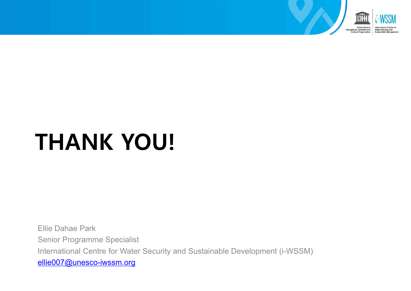

## **THANK YOU!**

Ellie Dahae Park Senior Programme Specialist International Centre for Water Security and Sustainable Development (i-WSSM) ellie007@unesco-iwssm.org